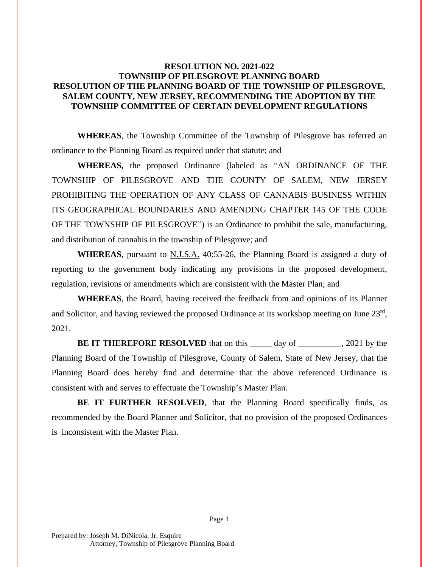## **RESOLUTION NO. 2021-022 TOWNSHIP OF PILESGROVE PLANNING BOARD RESOLUTION OF THE PLANNING BOARD OF THE TOWNSHIP OF PILESGROVE, SALEM COUNTY, NEW JERSEY, RECOMMENDING THE ADOPTION BY THE TOWNSHIP COMMITTEE OF CERTAIN DEVELOPMENT REGULATIONS**

**WHEREAS**, the Township Committee of the Township of Pilesgrove has referred an ordinance to the Planning Board as required under that statute; and

**WHEREAS,** the proposed Ordinance (labeled as "AN ORDINANCE OF THE TOWNSHIP OF PILESGROVE AND THE COUNTY OF SALEM, NEW JERSEY PROHIBITING THE OPERATION OF ANY CLASS OF CANNABIS BUSINESS WITHIN ITS GEOGRAPHICAL BOUNDARIES AND AMENDING CHAPTER 145 OF THE CODE OF THE TOWNSHIP OF PILESGROVE") is an Ordinance to prohibit the sale, manufacturing, and distribution of cannabis in the township of Pilesgrove; and

**WHEREAS**, pursuant to N.J.S.A. 40:55-26, the Planning Board is assigned a duty of reporting to the government body indicating any provisions in the proposed development, regulation, revisions or amendments which are consistent with the Master Plan; and

**WHEREAS**, the Board, having received the feedback from and opinions of its Planner and Solicitor, and having reviewed the proposed Ordinance at its workshop meeting on June  $23<sup>rd</sup>$ , 2021.

**BE IT THEREFORE RESOLVED** that on this day of \_\_\_\_\_\_\_\_, 2021 by the Planning Board of the Township of Pilesgrove, County of Salem, State of New Jersey, that the Planning Board does hereby find and determine that the above referenced Ordinance is consistent with and serves to effectuate the Township's Master Plan.

**BE IT FURTHER RESOLVED**, that the Planning Board specifically finds, as recommended by the Board Planner and Solicitor, that no provision of the proposed Ordinances is inconsistent with the Master Plan.